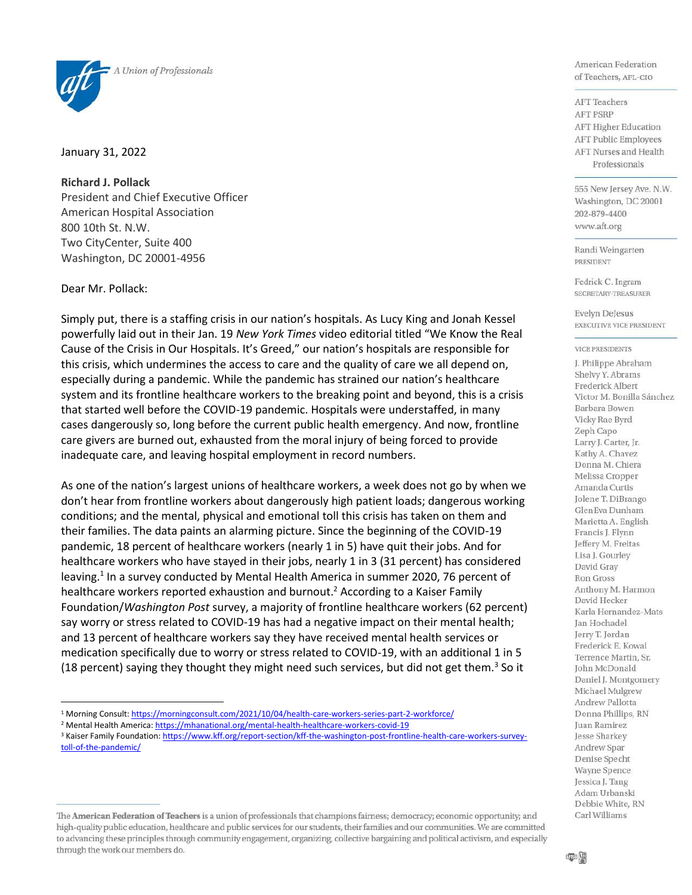

January 31, 2022

**Richard J. Pollack** President and Chief Executive Officer American Hospital Association 800 10th St. N.W. Two CityCenter, Suite 400 Washington, DC 20001-4956

## Dear Mr. Pollack:

Simply put, there is a staffing crisis in our nation's hospitals. As Lucy King and Jonah Kessel powerfully laid out in their Jan. 19 *New York Times* video editorial titled "We Know the Real Cause of the Crisis in Our Hospitals. It's Greed," our nation's hospitals are responsible for this crisis, which undermines the access to care and the quality of care we all depend on, especially during a pandemic. While the pandemic has strained our nation's healthcare system and its frontline healthcare workers to the breaking point and beyond, this is a crisis that started well before the COVID-19 pandemic. Hospitals were understaffed, in many cases dangerously so, long before the current public health emergency. And now, frontline care givers are burned out, exhausted from the moral injury of being forced to provide inadequate care, and leaving hospital employment in record numbers.

As one of the nation's largest unions of healthcare workers, a week does not go by when we don't hear from frontline workers about dangerously high patient loads; dangerous working conditions; and the mental, physical and emotional toll this crisis has taken on them and their families. The data paints an alarming picture. Since the beginning of the COVID-19 pandemic, 18 percent of healthcare workers (nearly 1 in 5) have quit their jobs. And for healthcare workers who have stayed in their jobs, nearly 1 in 3 (31 percent) has considered leaving.<sup>1</sup> In a survey conducted by Mental Health America in summer 2020, 76 percent of healthcare workers reported exhaustion and burnout.<sup>2</sup> According to a Kaiser Family Foundation/*Washington Post* survey, a majority of frontline healthcare workers (62 percent) say worry or stress related to COVID-19 has had a negative impact on their mental health; and 13 percent of healthcare workers say they have received mental health services or medication specifically due to worry or stress related to COVID-19, with an additional 1 in 5 (18 percent) saying they thought they might need such services, but did not get them.<sup>3</sup> So it

The American Federation of Teachers is a union of professionals that champions fairness; democracy; economic opportunity; and high-quality public education, healthcare and public services for our students, their families and our communities. We are committed to advancing these principles through community engagement, organizing, collective bargaining and political activism, and especially through the work our members do.

American Federation of Teachers, AFL-CIO

**AFT** Teachers **AFT PSRP** AFT Higher Education **AFT Public Employees** AFT Nurses and Health Professionals

555 New Jersey Ave. N.W. Washington, DC 20001 202-879-4400 www.aft.org

Randi Weingarten PRESIDENT

Fedrick C. Ingram SECRETARY-TREASURER

Evelyn DeJesus EXECUTIVE VICE PRESIDENT

## **VICE PRESIDENTS**

J. Philippe Abraham Shelvy Y. Abrams Frederick Albert Victor M. Bonilla Sánchez Barbara Bowen Vicky Rae Byrd Zeph Capo Larry J. Carter, Jr. Kathy A. Chavez Donna M. Chiera Melissa Cropper Amanda Curtis Jolene T. DiBrango GlenEva Dunham Marietta A. English Francis J. Flynn Jeffery M. Freitas Lisa J. Gourley David Gray Ron Gross Anthony M. Harmon David Hecker Karla Hernandez-Mats Jan Hochadel Jerry T. Jordan Frederick E. Kowal Terrence Martin, Sr. John McDonald Daniel J. Montgomery Michael Mulgrew Andrew Pallotta Donna Phillips, RN Juan Ramirez Jesse Sharkey Andrew Spar Denise Specht Wayne Spence Jessica J. Tang Adam Urbanski Debbie White, RN Carl Williams

<sup>&</sup>lt;sup>1</sup> Morning Consult: https://morningconsult.com/2021/10/04/health-care-workers-series-part-2-workforce/

<sup>&</sup>lt;sup>2</sup> Mental Health America: https://mhanational.org/mental-health-healthcare-workers-covid-19

<sup>&</sup>lt;sup>3</sup> Kaiser Family Foundation: https://www.kff.org/report-section/kff-the-washington-post-frontline-health-care-workers-surveytoll-of-the-pandemic/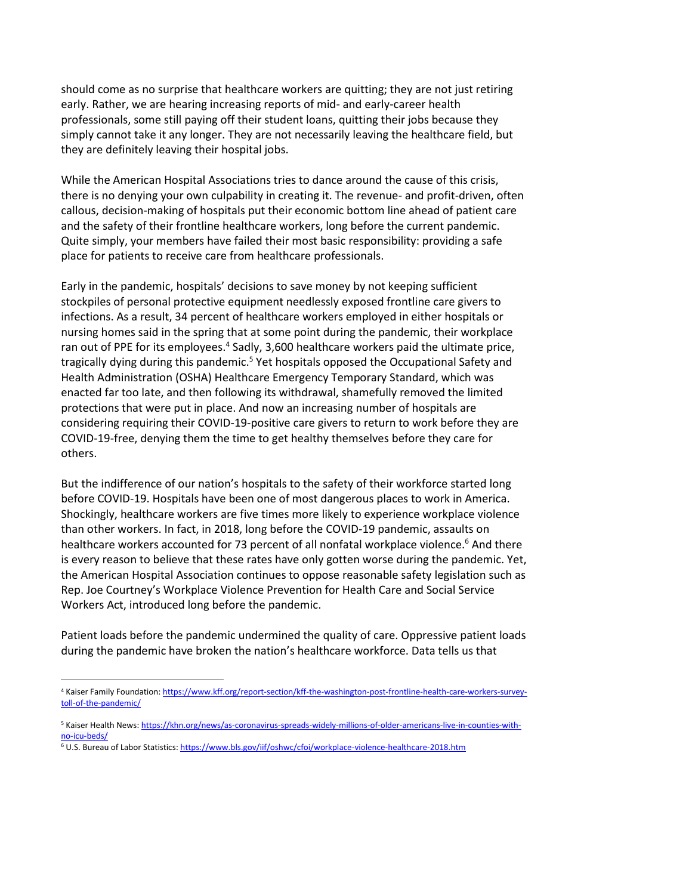should come as no surprise that healthcare workers are quitting; they are not just retiring early. Rather, we are hearing increasing reports of mid- and early-career health professionals, some still paying off their student loans, quitting their jobs because they simply cannot take it any longer. They are not necessarily leaving the healthcare field, but they are definitely leaving their hospital jobs.

While the American Hospital Associations tries to dance around the cause of this crisis, there is no denying your own culpability in creating it. The revenue- and profit-driven, often callous, decision-making of hospitals put their economic bottom line ahead of patient care and the safety of their frontline healthcare workers, long before the current pandemic. Quite simply, your members have failed their most basic responsibility: providing a safe place for patients to receive care from healthcare professionals.

Early in the pandemic, hospitals' decisions to save money by not keeping sufficient stockpiles of personal protective equipment needlessly exposed frontline care givers to infections. As a result, 34 percent of healthcare workers employed in either hospitals or nursing homes said in the spring that at some point during the pandemic, their workplace ran out of PPE for its employees.<sup>4</sup> Sadly, 3,600 healthcare workers paid the ultimate price, tragically dying during this pandemic.<sup>5</sup> Yet hospitals opposed the Occupational Safety and Health Administration (OSHA) Healthcare Emergency Temporary Standard, which was enacted far too late, and then following its withdrawal, shamefully removed the limited protections that were put in place. And now an increasing number of hospitals are considering requiring their COVID-19-positive care givers to return to work before they are COVID-19-free, denying them the time to get healthy themselves before they care for others.

But the indifference of our nation's hospitals to the safety of their workforce started long before COVID-19. Hospitals have been one of most dangerous places to work in America. Shockingly, healthcare workers are five times more likely to experience workplace violence than other workers. In fact, in 2018, long before the COVID-19 pandemic, assaults on healthcare workers accounted for 73 percent of all nonfatal workplace violence.<sup>6</sup> And there is every reason to believe that these rates have only gotten worse during the pandemic. Yet, the American Hospital Association continues to oppose reasonable safety legislation such as Rep. Joe Courtney's Workplace Violence Prevention for Health Care and Social Service Workers Act, introduced long before the pandemic.

Patient loads before the pandemic undermined the quality of care. Oppressive patient loads during the pandemic have broken the nation's healthcare workforce. Data tells us that

<sup>4</sup> Kaiser Family Foundation: https://www.kff.org/report-section/kff-the-washington-post-frontline-health-care-workers-surveytoll-of-the-pandemic/

<sup>5</sup> Kaiser Health News: https://khn.org/news/as-coronavirus-spreads-widely-millions-of-older-americans-live-in-counties-withno-icu-beds/

<sup>6</sup> U.S. Bureau of Labor Statistics: https://www.bls.gov/iif/oshwc/cfoi/workplace-violence-healthcare-2018.htm